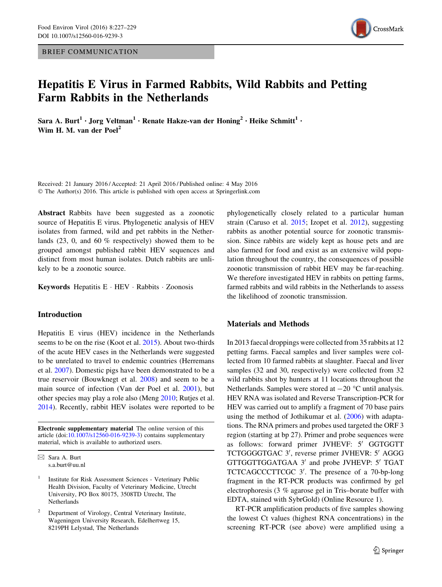BRIEF COMMUNICATION



# Hepatitis E Virus in Farmed Rabbits, Wild Rabbits and Petting Farm Rabbits in the Netherlands

Sara A. Burt<sup>1</sup> · Jorg Veltman<sup>1</sup> · Renate Hakze-van der Honing<sup>2</sup> · Heike Schmitt<sup>1</sup> · Wim H. M. van der Poel<sup>2</sup>

Received: 21 January 2016 / Accepted: 21 April 2016 / Published online: 4 May 2016 © The Author(s) 2016. This article is published with open access at Springerlink.com

Abstract Rabbits have been suggested as a zoonotic source of Hepatitis E virus. Phylogenetic analysis of HEV isolates from farmed, wild and pet rabbits in the Netherlands (23, 0, and 60 % respectively) showed them to be grouped amongst published rabbit HEV sequences and distinct from most human isolates. Dutch rabbits are unlikely to be a zoonotic source.

Keywords Hepatitis E - HEV - Rabbits - Zoonosis

# Introduction

Hepatitis E virus (HEV) incidence in the Netherlands seems to be on the rise (Koot et al. [2015](#page-2-0)). About two-thirds of the acute HEV cases in the Netherlands were suggested to be unrelated to travel to endemic countries (Herremans et al. [2007](#page-2-0)). Domestic pigs have been demonstrated to be a true reservoir (Bouwknegt et al. [2008\)](#page-2-0) and seem to be a main source of infection (Van der Poel et al. [2001](#page-2-0)), but other species may play a role also (Meng [2010;](#page-2-0) Rutjes et al. [2014\)](#page-2-0). Recently, rabbit HEV isolates were reported to be

Electronic supplementary material The online version of this article (doi:[10.1007/s12560-016-9239-3\)](http://dx.doi.org/10.1007/s12560-016-9239-3) contains supplementary material, which is available to authorized users.

<sup>2</sup> Department of Virology, Central Veterinary Institute, Wageningen University Research, Edelhertweg 15, 8219PH Lelystad, The Netherlands

phylogenetically closely related to a particular human strain (Caruso et al. [2015](#page-2-0); Izopet et al. [2012\)](#page-2-0), suggesting rabbits as another potential source for zoonotic transmission. Since rabbits are widely kept as house pets and are also farmed for food and exist as an extensive wild population throughout the country, the consequences of possible zoonotic transmission of rabbit HEV may be far-reaching. We therefore investigated HEV in rabbits on petting farms, farmed rabbits and wild rabbits in the Netherlands to assess the likelihood of zoonotic transmission.

# Materials and Methods

In 2013 faecal droppings were collected from 35 rabbits at 12 petting farms. Faecal samples and liver samples were collected from 10 farmed rabbits at slaughter. Faecal and liver samples (32 and 30, respectively) were collected from 32 wild rabbits shot by hunters at 11 locations throughout the Netherlands. Samples were stored at  $-20$  °C until analysis. HEV RNA was isolated and Reverse Transcription-PCR for HEV was carried out to amplify a fragment of 70 base pairs using the method of Jothikumar et al. [\(2006\)](#page-2-0) with adaptations. The RNA primers and probes used targeted the ORF 3 region (starting at bp 27). Primer and probe sequences were as follows: forward primer JVHEVF: 5' GGTGGTT TCTGGGGTGAC 3', reverse primer JVHEVR: 5' AGGG GTTGGTTGGATGAA 3' and probe JVHEVP: 5' TGAT TCTCAGCCCTTCGC 3'. The presence of a 70-bp-long fragment in the RT-PCR products was confirmed by gel electrophoresis (3 % agarose gel in Tris–borate buffer with EDTA, stained with SybrGold) (Online Resource 1).

RT-PCR amplification products of five samples showing the lowest Ct values (highest RNA concentrations) in the screening RT-PCR (see above) were amplified using a

 $\boxtimes$  Sara A. Burt s.a.burt@uu.nl

<sup>&</sup>lt;sup>1</sup> Institute for Risk Assessment Sciences - Veterinary Public Health Division, Faculty of Veterinary Medicine, Utrecht University, PO Box 80175, 3508TD Utrecht, The Netherlands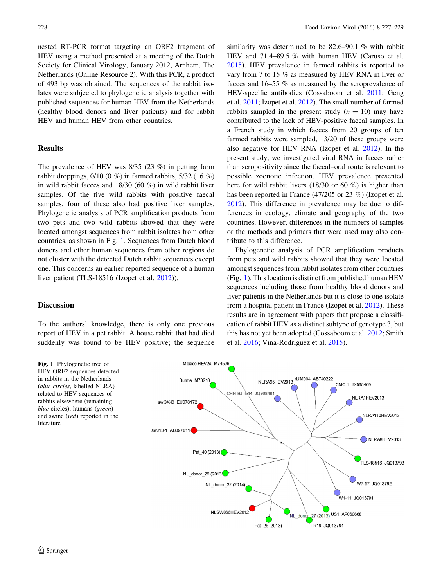nested RT-PCR format targeting an ORF2 fragment of HEV using a method presented at a meeting of the Dutch Society for Clinical Virology, January 2012, Arnhem, The Netherlands (Online Resource 2). With this PCR, a product of 493 bp was obtained. The sequences of the rabbit isolates were subjected to phylogenetic analysis together with published sequences for human HEV from the Netherlands (healthy blood donors and liver patients) and for rabbit HEV and human HEV from other countries.

### **Results**

The prevalence of HEV was 8/35 (23 %) in petting farm rabbit droppings,  $0/10$  (0 %) in farmed rabbits,  $5/32$  (16 %) in wild rabbit faeces and 18/30 (60 %) in wild rabbit liver samples. Of the five wild rabbits with positive faecal samples, four of these also had positive liver samples. Phylogenetic analysis of PCR amplification products from two pets and two wild rabbits showed that they were located amongst sequences from rabbit isolates from other countries, as shown in Fig. 1. Sequences from Dutch blood donors and other human sequences from other regions do not cluster with the detected Dutch rabbit sequences except one. This concerns an earlier reported sequence of a human liver patient (TLS-18516 (Izopet et al. [2012](#page-2-0))).

# **Discussion**

To the authors' knowledge, there is only one previous report of HEV in a pet rabbit. A house rabbit that had died suddenly was found to be HEV positive; the sequence

similarity was determined to be 82.6–90.1 % with rabbit HEV and 71.4–89.5 % with human HEV (Caruso et al. [2015](#page-2-0)). HEV prevalence in farmed rabbits is reported to vary from 7 to 15 % as measured by HEV RNA in liver or faeces and 16–55 % as measured by the seroprevalence of HEV-specific antibodies (Cossaboom et al. [2011;](#page-2-0) Geng et al. [2011;](#page-2-0) Izopet et al. [2012](#page-2-0)). The small number of farmed rabbits sampled in the present study  $(n = 10)$  may have contributed to the lack of HEV-positive faecal samples. In a French study in which faeces from 20 groups of ten farmed rabbits were sampled, 13/20 of these groups were also negative for HEV RNA (Izopet et al. [2012](#page-2-0)). In the present study, we investigated viral RNA in faeces rather than seropositivity since the faecal–oral route is relevant to possible zoonotic infection. HEV prevalence presented here for wild rabbit livers (18/30 or 60 %) is higher than has been reported in France (47/205 or 23 %) (Izopet et al. [2012](#page-2-0)). This difference in prevalence may be due to differences in ecology, climate and geography of the two countries. However, differences in the numbers of samples or the methods and primers that were used may also contribute to this difference.

Phylogenetic analysis of PCR amplification products from pets and wild rabbits showed that they were located amongst sequences from rabbit isolates from other countries (Fig. 1). This location is distinct from published human HEV sequences including those from healthy blood donors and liver patients in the Netherlands but it is close to one isolate from a hospital patient in France (Izopet et al. [2012\)](#page-2-0). These results are in agreement with papers that propose a classification of rabbit HEV as a distinct subtype of genotype 3, but this has not yet been adopted (Cossaboom et al. [2012](#page-2-0); Smith et al. [2016](#page-2-0); Vina-Rodriguez et al. [2015](#page-2-0)).